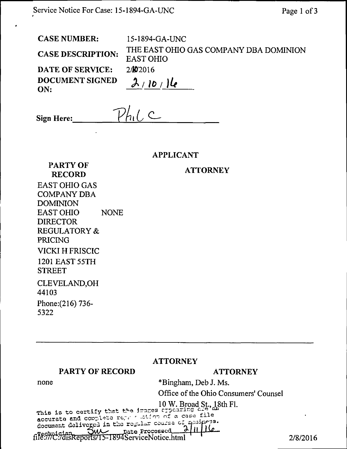| <b>CASE NUMBER:</b>      | 15-1894-GA-UNC                                             |
|--------------------------|------------------------------------------------------------|
| <b>CASE DESCRIPTION:</b> | THE EAST OHIO GAS COMPANY DBA DOMINION<br><b>EAST OHIO</b> |
| DATE OF SERVICE:         | 2/N/2016                                                   |
| DOCUMENT SIGNED<br>ON:   | 2/10/16                                                    |

 $PhiC$ Sign Here:\_

APPLICANT

**ATTORNEY** 

PARTY OF RECORD EAST OHIO GAS COMPANY DBA DOMINION EAST OHIO NONE DIRECTOR REGULATORY & PRICING VICKI H FRISCIC 1201 EAST 55TH STREET CLEVELAND,OH 44103 Phone:(216) 736- 5322

# ATTORNEY

### PARTY OF RECORD

# **ATTORNEY**

none

# \*Bingham, Deb J. Ms.

Office of the Ohio Consumers' Counsel

low. Broad St, 18th FI.

document deliveged in the regular course of quainess. document delivered in the regular course of the five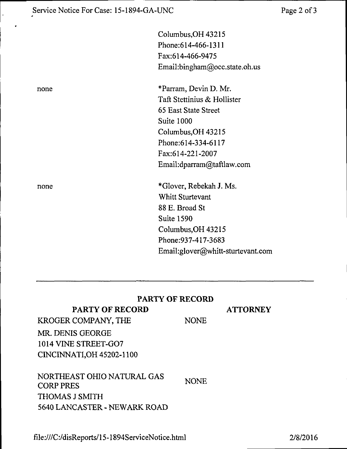|      | Columbus, OH 43215                |
|------|-----------------------------------|
|      | Phone: 614-466-1311               |
|      | Fax:614-466-9475                  |
|      | Email:bingham@occ.state.oh.us     |
| none | *Parram, Devin D. Mr.             |
|      | Taft Stettinius & Hollister       |
|      | 65 East State Street              |
|      | Suite 1000                        |
|      | Columbus, OH 43215                |
|      | Phone: 614-334-6117               |
|      | Fax:614-221-2007                  |
|      | Email:dparram@taftlaw.com         |
| none | *Glover, Rebekah J. Ms.           |
|      | Whitt Sturtevant                  |
|      | 88 E. Broad St                    |
|      | <b>Suite 1590</b>                 |
|      | Columbus, OH 43215                |
|      | Phone: 937-417-3683               |
|      | Email:glover@whitt-sturtevant.com |
|      |                                   |

## **PARTY OF RECORD**

## **PARTY OF RECORD**

### **ATTORNEY**

KROGER COMPANY, THE NONE MR. DENIS GEORGE 1014 VINE STREET-G07 CINCINNATI,OH 45202-1100

NORTHEAST OHIO NATURAL GAS CORP PRES THOMAS J SMITH 5640 LANCASTER - NEWARK ROAD NONE

file:///C:/disReports/15-1894ServiceNotice.html

2/8/2016